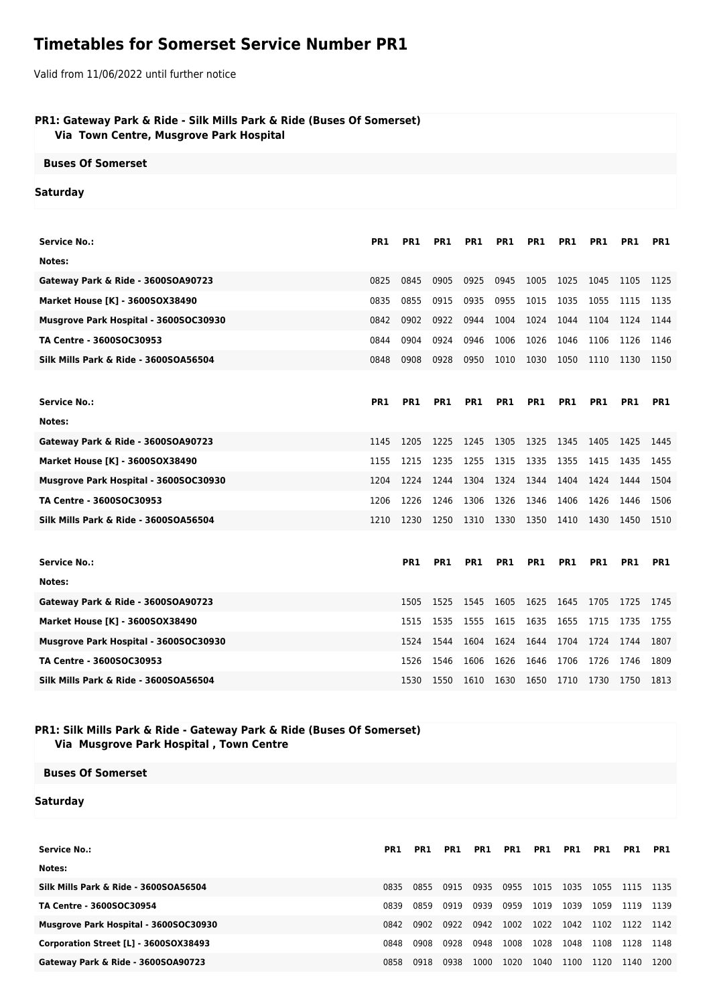# **Timetables for Somerset Service Number PR1**

Valid from 11/06/2022 until further notice

## **PR1: Gateway Park & Ride - Silk Mills Park & Ride (Buses Of Somerset) Via Town Centre, Musgrove Park Hospital**

### **Buses Of Somerset**

# **Saturday**

| <b>PR1</b> | <b>PR1</b>      | PR1        | PR1             | PR <sub>1</sub> | PR <sub>1</sub> | PR <sub>1</sub> | PR <sub>1</sub> | PR <sub>1</sub> | PR1  |
|------------|-----------------|------------|-----------------|-----------------|-----------------|-----------------|-----------------|-----------------|------|
|            |                 |            |                 |                 |                 |                 |                 |                 |      |
| 0825       | 0845            | 0905       | 0925            | 0945            | 1005            | 1025            | 1045            | 1105            | 1125 |
| 0835       | 0855            | 0915       | 0935            | 0955            | 1015            | 1035            | 1055            | 1115            | 1135 |
| 0842       | 0902            | 0922       | 0944            | 1004            | 1024            | 1044            | 1104            | 1124            | 1144 |
| 0844       | 0904            | 0924       | 0946            | 1006            | 1026            | 1046            | 1106            | 1126            | 1146 |
| 0848       | 0908            | 0928       | 0950            | 1010            | 1030            | 1050            | 1110            | 1130            | 1150 |
|            |                 |            |                 |                 |                 |                 |                 |                 |      |
| <b>PR1</b> | PR <sub>1</sub> | <b>PR1</b> | PR <sub>1</sub> | PR <sub>1</sub> | PR <sub>1</sub> | PR <sub>1</sub> | PR <sub>1</sub> | PR <sub>1</sub> | PR1  |
|            |                 |            |                 |                 |                 |                 |                 |                 |      |
| 1145       | 1205            | 1225       | 1245            | 1305            | 1325            | 1345            | 1405            | 1425            | 1445 |
| 1155       | 1215            | 1235       | 1255            | 1315            | 1335            | 1355            | 1415            | 1435            | 1455 |
| 1204       | 1224            | 1244       | 1304            | 1324            | 1344            | 1404            | 1424            | 1444            | 1504 |
| 1206       | 1226            | 1246       | 1306            | 1326            | 1346            | 1406            | 1426            | 1446            | 1506 |
| 1210       | 1230            | 1250       | 1310            | 1330            | 1350            | 1410            | 1430            | 1450            | 1510 |
|            |                 |            |                 |                 |                 |                 |                 |                 |      |
|            | <b>PR1</b>      | <b>PR1</b> | <b>PR1</b>      | <b>PR1</b>      | PR <sub>1</sub> | <b>PR1</b>      | <b>PR1</b>      | PR <sub>1</sub> | PR1  |
|            |                 |            |                 |                 |                 |                 |                 |                 |      |
|            | 1505            | 1525       | 1545            | 1605            | 1625            | 1645            | 1705            | 1725            | 1745 |
|            | 1515            | 1535       | 1555            | 1615            | 1635            | 1655            | 1715            | 1735            | 1755 |
|            | 1524            | 1544       | 1604            | 1624            | 1644            | 1704            | 1724            | 1744            | 1807 |
|            | 1526            | 1546       | 1606            | 1626            | 1646            | 1706            | 1726            | 1746            | 1809 |
|            | 1530            | 1550       | 1610            | 1630            | 1650            | 1710            | 1730            | 1750            | 1813 |
|            |                 |            |                 |                 |                 |                 |                 |                 |      |

## **PR1: Silk Mills Park & Ride - Gateway Park & Ride (Buses Of Somerset) Via Musgrove Park Hospital , Town Centre**

### **Buses Of Somerset**

**Saturday**

| <b>Service No.:</b>                   | PR1  | PR1  | PR1  | PR1  | PR1  | PR1  | PR1  | PR1  | PR1  | PR1  |
|---------------------------------------|------|------|------|------|------|------|------|------|------|------|
| Notes:                                |      |      |      |      |      |      |      |      |      |      |
| Silk Mills Park & Ride - 3600SOA56504 | 0835 | 0855 | 0915 | 0935 | 0955 | 1015 | 1035 | 1055 | 1115 | 1135 |
| TA Centre - 3600SOC30954              | 0839 | 0859 | 0919 | 0939 | 0959 | 1019 | 1039 | 1059 | 1119 | 1139 |
| Musgrove Park Hospital - 3600SOC30930 | 0842 | 0902 | 0922 | 0942 | 1002 | 1022 | 1042 | 1102 | 1122 | 1142 |
| Corporation Street [L] - 3600SOX38493 | 0848 | 0908 | 0928 | 0948 | 1008 | 1028 | 1048 | 1108 | 1128 | 1148 |
| Gateway Park & Ride - 3600SOA90723    | 0858 | 0918 | 0938 | 1000 | 1020 | 1040 | 1100 | 1120 | 1140 | 1200 |